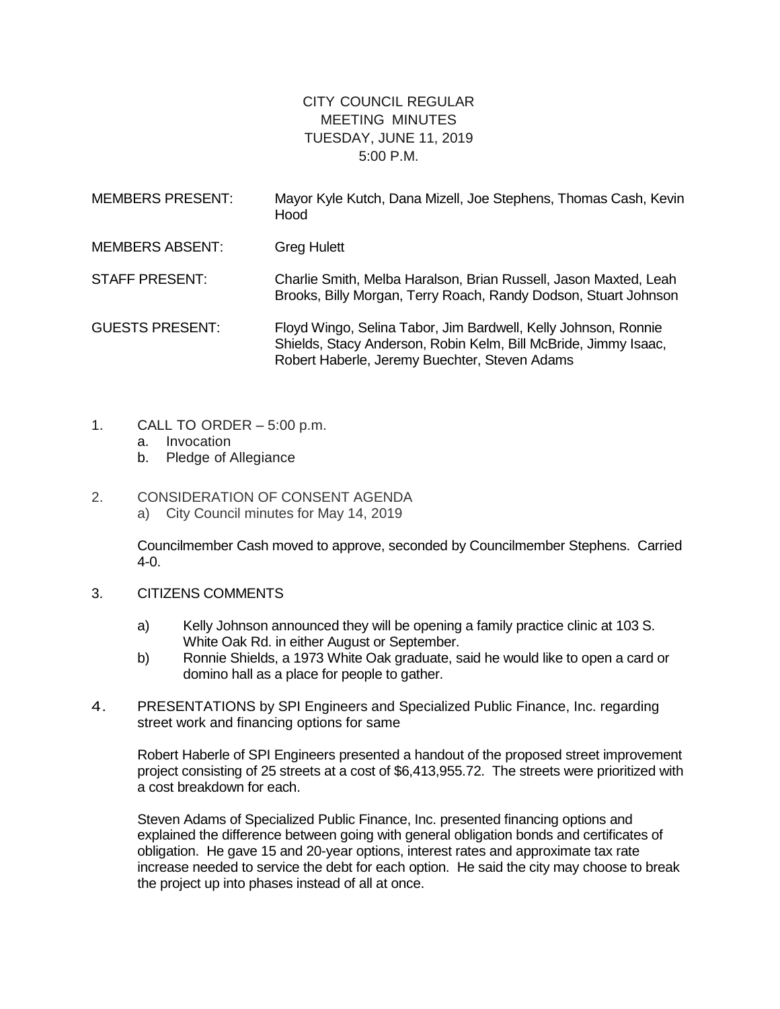## CITY COUNCIL REGULAR MEETING MINUTES TUESDAY, JUNE 11, 2019 5:00 P.M.

| <b>MEMBERS PRESENT:</b> | Mayor Kyle Kutch, Dana Mizell, Joe Stephens, Thomas Cash, Kevin<br>Hood                                                                                                            |
|-------------------------|------------------------------------------------------------------------------------------------------------------------------------------------------------------------------------|
| <b>MEMBERS ABSENT:</b>  | <b>Greg Hulett</b>                                                                                                                                                                 |
| <b>STAFF PRESENT:</b>   | Charlie Smith, Melba Haralson, Brian Russell, Jason Maxted, Leah<br>Brooks, Billy Morgan, Terry Roach, Randy Dodson, Stuart Johnson                                                |
| <b>GUESTS PRESENT:</b>  | Floyd Wingo, Selina Tabor, Jim Bardwell, Kelly Johnson, Ronnie<br>Shields, Stacy Anderson, Robin Kelm, Bill McBride, Jimmy Isaac,<br>Robert Haberle, Jeremy Buechter, Steven Adams |

- 1. CALL TO ORDER 5:00 p.m.
	- a. Invocation
	- b. Pledge of Allegiance

## 2. CONSIDERATION OF CONSENT AGENDA

a) City Council minutes for May 14, 2019

Councilmember Cash moved to approve, seconded by Councilmember Stephens. Carried 4-0.

- 3. CITIZENS COMMENTS
	- a) Kelly Johnson announced they will be opening a family practice clinic at 103 S. White Oak Rd. in either August or September.
	- b) Ronnie Shields, a 1973 White Oak graduate, said he would like to open a card or domino hall as a place for people to gather.
- 4. PRESENTATIONS by SPI Engineers and Specialized Public Finance, Inc. regarding street work and financing options for same

Robert Haberle of SPI Engineers presented a handout of the proposed street improvement project consisting of 25 streets at a cost of \$6,413,955.72. The streets were prioritized with a cost breakdown for each.

Steven Adams of Specialized Public Finance, Inc. presented financing options and explained the difference between going with general obligation bonds and certificates of obligation. He gave 15 and 20-year options, interest rates and approximate tax rate increase needed to service the debt for each option. He said the city may choose to break the project up into phases instead of all at once.